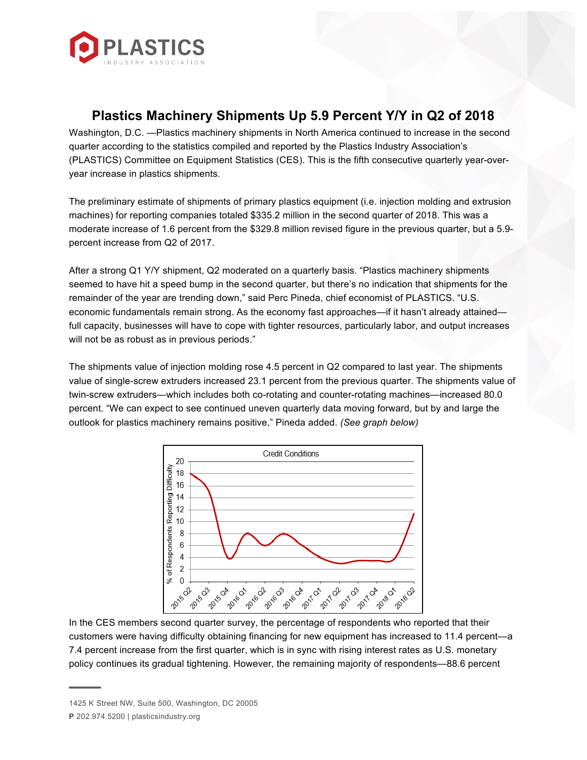

## **Plastics Machinery Shipments Up 5.9 Percent Y/Y in Q2 of 2018**

Washington, D.C. —Plastics machinery shipments in North America continued to increase in the second quarter according to the statistics compiled and reported by the Plastics Industry Association's (PLASTICS) Committee on Equipment Statistics (CES). This is the fifth consecutive quarterly year-overyear increase in plastics shipments.

The preliminary estimate of shipments of primary plastics equipment (i.e. injection molding and extrusion machines) for reporting companies totaled \$335.2 million in the second quarter of 2018. This was a moderate increase of 1.6 percent from the \$329.8 million revised figure in the previous quarter, but a 5.9 percent increase from Q2 of 2017.

After a strong Q1 Y/Y shipment, Q2 moderated on a quarterly basis. "Plastics machinery shipments seemed to have hit a speed bump in the second quarter, but there's no indication that shipments for the remainder of the year are trending down," said Perc Pineda, chief economist of PLASTICS. "U.S. economic fundamentals remain strong. As the economy fast approaches—if it hasn't already attained full capacity, businesses will have to cope with tighter resources, particularly labor, and output increases will not be as robust as in previous periods."

The shipments value of injection molding rose 4.5 percent in Q2 compared to last year. The shipments value of single-screw extruders increased 23.1 percent from the previous quarter. The shipments value of twin-screw extruders—which includes both co-rotating and counter-rotating machines—increased 80.0 percent. "We can expect to see continued uneven quarterly data moving forward, but by and large the outlook for plastics machinery remains positive," Pineda added. *(See graph below)*



In the CES members second quarter survey, the percentage of respondents who reported that their customers were having difficulty obtaining financing for new equipment has increased to 11.4 percent—a 7.4 percent increase from the first quarter, which is in sync with rising interest rates as U.S. monetary policy continues its gradual tightening. However, the remaining majority of respondents—88.6 percent